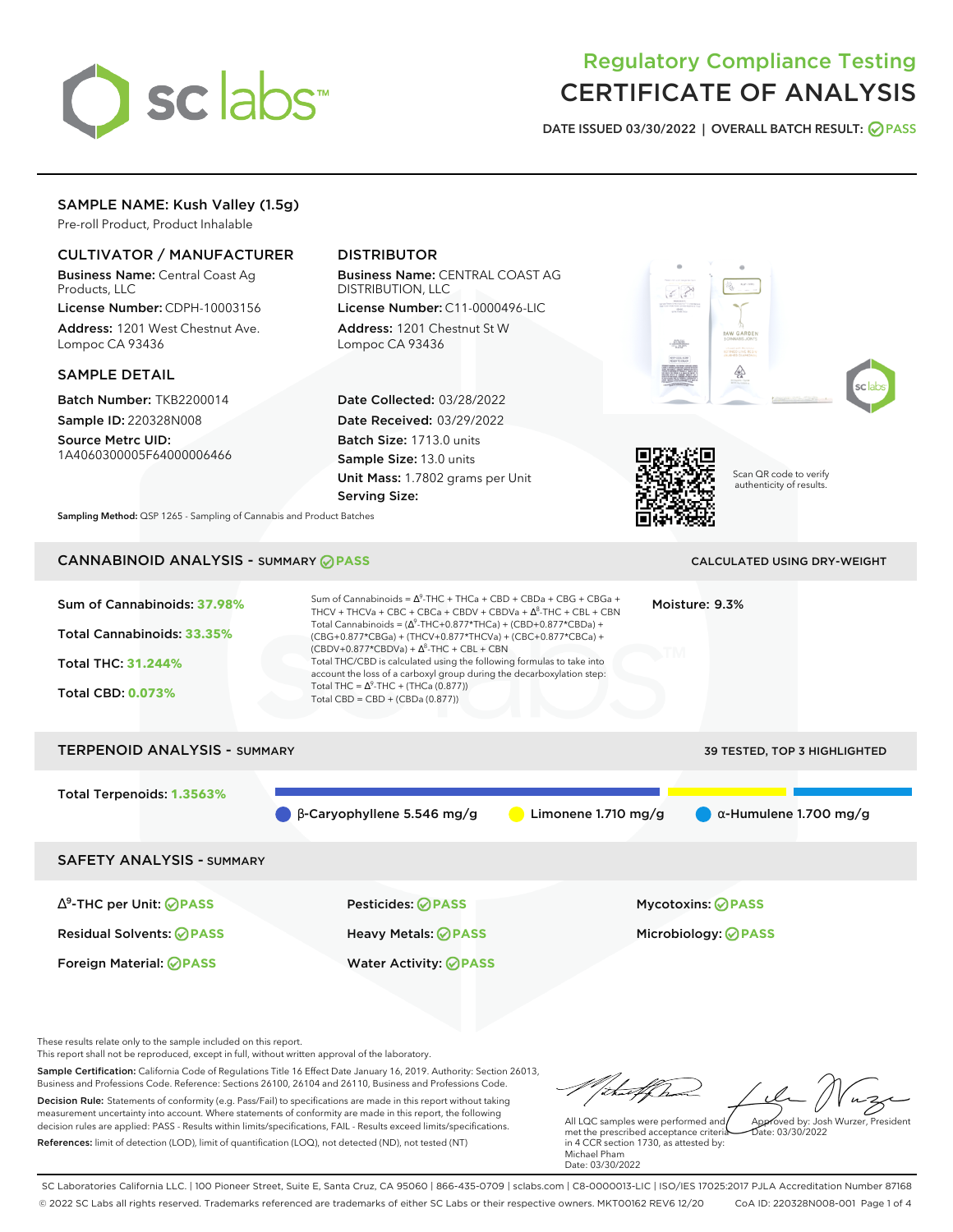

# Regulatory Compliance Testing CERTIFICATE OF ANALYSIS

**DATE ISSUED 03/30/2022 | OVERALL BATCH RESULT: PASS**

# SAMPLE NAME: Kush Valley (1.5g)

Pre-roll Product, Product Inhalable

# CULTIVATOR / MANUFACTURER

Business Name: Central Coast Ag Products, LLC

License Number: CDPH-10003156 Address: 1201 West Chestnut Ave. Lompoc CA 93436

#### SAMPLE DETAIL

Batch Number: TKB2200014 Sample ID: 220328N008

Source Metrc UID: 1A4060300005F64000006466

# DISTRIBUTOR

Business Name: CENTRAL COAST AG DISTRIBUTION, LLC

License Number: C11-0000496-LIC Address: 1201 Chestnut St W Lompoc CA 93436

Date Collected: 03/28/2022 Date Received: 03/29/2022 Batch Size: 1713.0 units Sample Size: 13.0 units Unit Mass: 1.7802 grams per Unit Serving Size:







Scan QR code to verify authenticity of results.

**Sampling Method:** QSP 1265 - Sampling of Cannabis and Product Batches

# CANNABINOID ANALYSIS - SUMMARY **PASS** CALCULATED USING DRY-WEIGHT

# Sum of Cannabinoids: **37.98%** Total Cannabinoids: **33.35%** Total THC: **31.244%** Total CBD: **0.073%** Sum of Cannabinoids =  $\Delta^9$ -THC + THCa + CBD + CBDa + CBG + CBGa + THCV + THCVa + CBC + CBCa + CBDV + CBDVa +  $\Delta^8$ -THC + CBL + CBN Total Cannabinoids = ( $\Delta^9$ -THC+0.877\*THCa) + (CBD+0.877\*CBDa) + (CBG+0.877\*CBGa) + (THCV+0.877\*THCVa) + (CBC+0.877\*CBCa) +  $(CBDV+0.877*CBDVa) + \Delta^8$ -THC + CBL + CBN Total THC/CBD is calculated using the following formulas to take into account the loss of a carboxyl group during the decarboxylation step: Total THC =  $\Delta^9$ -THC + (THCa (0.877)) Total CBD = CBD + (CBDa (0.877)) Moisture: 9.3% TERPENOID ANALYSIS - SUMMARY 39 TESTED, TOP 3 HIGHLIGHTED Total Terpenoids: **1.3563%** β-Caryophyllene 5.546 mg/g Limonene 1.710 mg/g α-Humulene 1.700 mg/g SAFETY ANALYSIS - SUMMARY ∆ 9 -THC per Unit: **PASS** Pesticides: **PASS** Mycotoxins: **PASS** Residual Solvents: **PASS** Heavy Metals: **PASS** Microbiology: **PASS**

These results relate only to the sample included on this report.

This report shall not be reproduced, except in full, without written approval of the laboratory.

Sample Certification: California Code of Regulations Title 16 Effect Date January 16, 2019. Authority: Section 26013, Business and Professions Code. Reference: Sections 26100, 26104 and 26110, Business and Professions Code. Decision Rule: Statements of conformity (e.g. Pass/Fail) to specifications are made in this report without taking measurement uncertainty into account. Where statements of conformity are made in this report, the following decision rules are applied: PASS - Results within limits/specifications, FAIL - Results exceed limits/specifications.

Foreign Material: **PASS** Water Activity: **PASS**

References: limit of detection (LOD), limit of quantification (LOQ), not detected (ND), not tested (NT)

tu#f h Approved by: Josh Wurzer, President

 $ate: 03/30/2022$ 

All LQC samples were performed and met the prescribed acceptance criteria in 4 CCR section 1730, as attested by: Michael Pham Date: 03/30/2022

SC Laboratories California LLC. | 100 Pioneer Street, Suite E, Santa Cruz, CA 95060 | 866-435-0709 | sclabs.com | C8-0000013-LIC | ISO/IES 17025:2017 PJLA Accreditation Number 87168 © 2022 SC Labs all rights reserved. Trademarks referenced are trademarks of either SC Labs or their respective owners. MKT00162 REV6 12/20 CoA ID: 220328N008-001 Page 1 of 4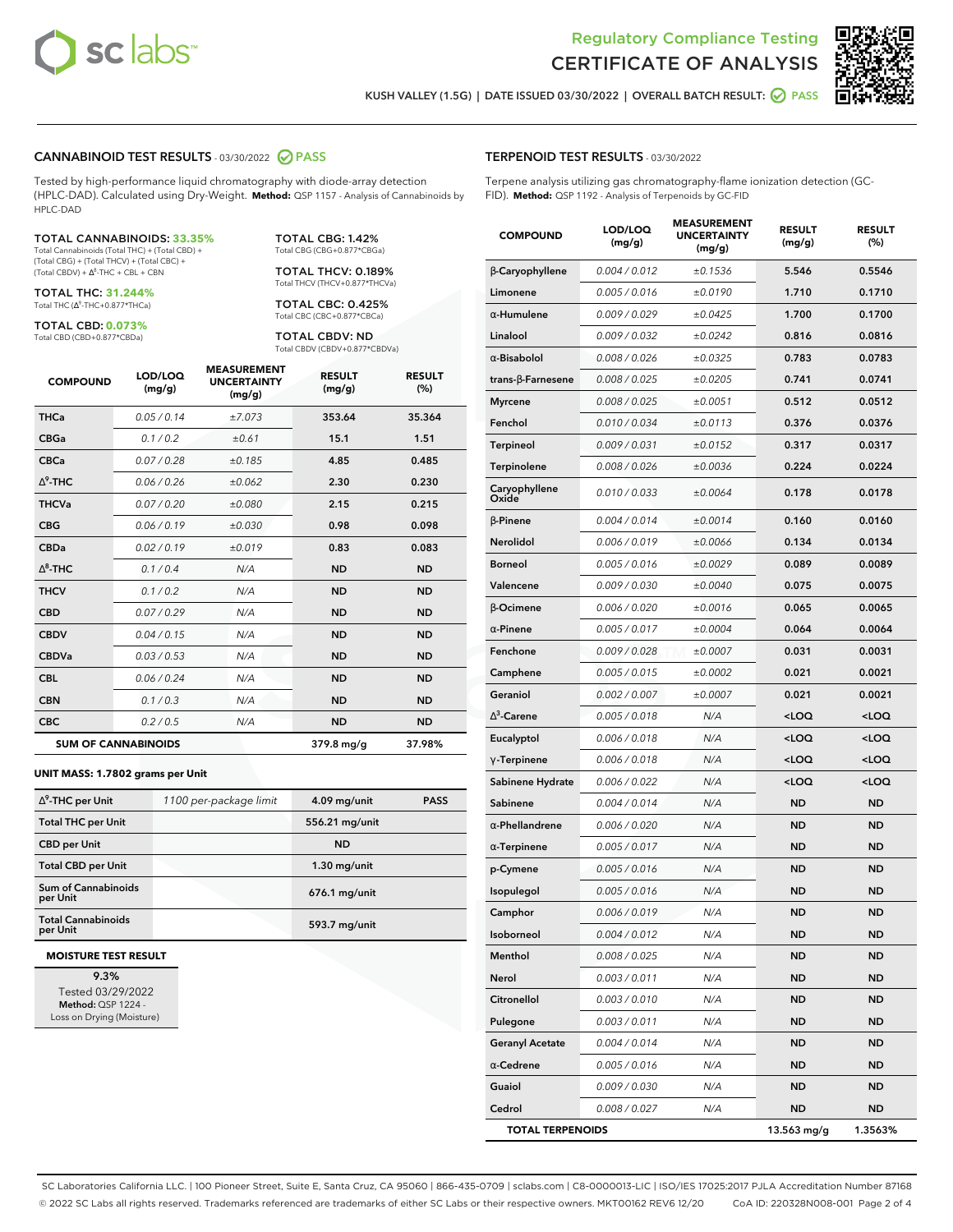



**KUSH VALLEY (1.5G) | DATE ISSUED 03/30/2022 | OVERALL BATCH RESULT: PASS**

### **CANNABINOID TEST RESULTS** - 03/30/2022 **PASS**

Tested by high-performance liquid chromatography with diode-array detection (HPLC-DAD). Calculated using Dry-Weight. **Method:** QSP 1157 - Analysis of Cannabinoids by HPLC-DAD

#### TOTAL CANNABINOIDS: **33.35%**

Total Cannabinoids (Total THC) + (Total CBD) + (Total CBG) + (Total THCV) + (Total CBC) +  $(Total CBDV) +  $\Delta^8$ -THC + CBL + CBN$ 

TOTAL THC: **31.244%** Total THC (Δ<sup>9</sup>-THC+0.877\*THCa)

TOTAL CBD: **0.073%** Total CBD (CBD+0.877\*CBDa)

TOTAL CBG: 1.42% Total CBG (CBG+0.877\*CBGa)

TOTAL THCV: 0.189% Total THCV (THCV+0.877\*THCVa)

TOTAL CBC: 0.425% Total CBC (CBC+0.877\*CBCa)

TOTAL CBDV: ND Total CBDV (CBDV+0.877\*CBDVa)

| <b>COMPOUND</b> | LOD/LOQ<br>(mg/g)          | <b>MEASUREMENT</b><br><b>UNCERTAINTY</b><br>(mg/g) | <b>RESULT</b><br>(mg/g) | <b>RESULT</b><br>(%) |
|-----------------|----------------------------|----------------------------------------------------|-------------------------|----------------------|
| <b>THCa</b>     | 0.05 / 0.14                | ±7.073                                             | 353.64                  | 35.364               |
| <b>CBGa</b>     | 0.1/0.2                    | ±0.61                                              | 15.1                    | 1.51                 |
| <b>CBCa</b>     | 0.07 / 0.28                | ±0.185                                             | 4.85                    | 0.485                |
| $\Delta^9$ -THC | 0.06/0.26                  | ±0.062                                             | 2.30                    | 0.230                |
| <b>THCVa</b>    | 0.07/0.20                  | ±0.080                                             | 2.15                    | 0.215                |
| <b>CBG</b>      | 0.06/0.19                  | ±0.030                                             | 0.98                    | 0.098                |
| <b>CBDa</b>     | 0.02/0.19                  | ±0.019                                             | 0.83                    | 0.083                |
| $\wedge^8$ -THC | 0.1/0.4                    | N/A                                                | <b>ND</b>               | <b>ND</b>            |
| <b>THCV</b>     | 0.1/0.2                    | N/A                                                | <b>ND</b>               | <b>ND</b>            |
| <b>CBD</b>      | 0.07/0.29                  | N/A                                                | <b>ND</b>               | <b>ND</b>            |
| <b>CBDV</b>     | 0.04 / 0.15                | N/A                                                | <b>ND</b>               | <b>ND</b>            |
| <b>CBDVa</b>    | 0.03 / 0.53                | N/A                                                | <b>ND</b>               | <b>ND</b>            |
| <b>CBL</b>      | 0.06 / 0.24                | N/A                                                | <b>ND</b>               | <b>ND</b>            |
| <b>CBN</b>      | 0.1 / 0.3                  | N/A                                                | <b>ND</b>               | <b>ND</b>            |
| <b>CBC</b>      | 0.2 / 0.5                  | N/A                                                | <b>ND</b>               | <b>ND</b>            |
|                 | <b>SUM OF CANNABINOIDS</b> |                                                    | 379.8 mg/g              | 37.98%               |

#### **UNIT MASS: 1.7802 grams per Unit**

| $\Delta^9$ -THC per Unit               | 1100 per-package limit | 4.09 mg/unit   | <b>PASS</b> |
|----------------------------------------|------------------------|----------------|-------------|
| <b>Total THC per Unit</b>              |                        | 556.21 mg/unit |             |
| <b>CBD per Unit</b>                    |                        | <b>ND</b>      |             |
| <b>Total CBD per Unit</b>              |                        | $1.30$ mg/unit |             |
| <b>Sum of Cannabinoids</b><br>per Unit |                        | 676.1 mg/unit  |             |
| <b>Total Cannabinoids</b><br>per Unit  |                        | 593.7 mg/unit  |             |

#### **MOISTURE TEST RESULT**

**9.3%** Tested 03/29/2022 **Method:** QSP 1224 - Loss on Drying (Moisture)

## **TERPENOID TEST RESULTS** - 03/30/2022

Terpene analysis utilizing gas chromatography-flame ionization detection (GC-FID). **Method:** QSP 1192 - Analysis of Terpenoids by GC-FID

| <b>COMPOUND</b>          | LOD/LOQ<br>(mg/g) | <b>MEASUREMENT</b><br><b>UNCERTAINTY</b><br>(mg/g) | <b>RESULT</b><br>(mg/g)                          | <b>RESULT</b><br>(%) |
|--------------------------|-------------------|----------------------------------------------------|--------------------------------------------------|----------------------|
| β-Caryophyllene          | 0.004 / 0.012     | ±0.1536                                            | 5.546                                            | 0.5546               |
| Limonene                 | 0.005 / 0.016     | ±0.0190                                            | 1.710                                            | 0.1710               |
| $\alpha$ -Humulene       | 0.009/0.029       | ±0.0425                                            | 1.700                                            | 0.1700               |
| Linalool                 | 0.009 / 0.032     | ±0.0242                                            | 0.816                                            | 0.0816               |
| $\alpha$ -Bisabolol      | 0.008 / 0.026     | ±0.0325                                            | 0.783                                            | 0.0783               |
| $trans-\beta$ -Farnesene | 0.008 / 0.025     | ±0.0205                                            | 0.741                                            | 0.0741               |
| <b>Myrcene</b>           | 0.008 / 0.025     | ±0.0051                                            | 0.512                                            | 0.0512               |
| Fenchol                  | 0.010 / 0.034     | ±0.0113                                            | 0.376                                            | 0.0376               |
| <b>Terpineol</b>         | 0.009 / 0.031     | ±0.0152                                            | 0.317                                            | 0.0317               |
| Terpinolene              | 0.008 / 0.026     | ±0.0036                                            | 0.224                                            | 0.0224               |
| Caryophyllene<br>Oxide   | 0.010 / 0.033     | ±0.0064                                            | 0.178                                            | 0.0178               |
| <b>B-Pinene</b>          | 0.004 / 0.014     | ±0.0014                                            | 0.160                                            | 0.0160               |
| Nerolidol                | 0.006 / 0.019     | ±0.0066                                            | 0.134                                            | 0.0134               |
| <b>Borneol</b>           | 0.005 / 0.016     | ±0.0029                                            | 0.089                                            | 0.0089               |
| Valencene                | 0.009 / 0.030     | ±0.0040                                            | 0.075                                            | 0.0075               |
| β-Ocimene                | 0.006 / 0.020     | ±0.0016                                            | 0.065                                            | 0.0065               |
| $\alpha$ -Pinene         | 0.005 / 0.017     | ±0.0004                                            | 0.064                                            | 0.0064               |
| Fenchone                 | 0.009 / 0.028     | ±0.0007                                            | 0.031                                            | 0.0031               |
| Camphene                 | 0.005 / 0.015     | ±0.0002                                            | 0.021                                            | 0.0021               |
| Geraniol                 | 0.002 / 0.007     | ±0.0007                                            | 0.021                                            | 0.0021               |
| $\Delta^3$ -Carene       | 0.005 / 0.018     | N/A                                                | <loq< th=""><th><loq< th=""></loq<></th></loq<>  | <loq< th=""></loq<>  |
| Eucalyptol               | 0.006 / 0.018     | N/A                                                | <loq< th=""><th><loq< th=""></loq<></th></loq<>  | <loq< th=""></loq<>  |
| $\gamma$ -Terpinene      | 0.006 / 0.018     | N/A                                                | <loq< th=""><th><loq< th=""></loq<></th></loq<>  | <loq< th=""></loq<>  |
| Sabinene Hydrate         | 0.006 / 0.022     | N/A                                                | <loq< th=""><th><math>&lt;</math>LOQ</th></loq<> | $<$ LOQ              |
| Sabinene                 | 0.004 / 0.014     | N/A                                                | <b>ND</b>                                        | <b>ND</b>            |
| $\alpha$ -Phellandrene   | 0.006 / 0.020     | N/A                                                | <b>ND</b>                                        | ND                   |
| $\alpha$ -Terpinene      | 0.005 / 0.017     | N/A                                                | ND                                               | <b>ND</b>            |
| p-Cymene                 | 0.005 / 0.016     | N/A                                                | <b>ND</b>                                        | <b>ND</b>            |
| Isopulegol               | 0.005 / 0.016     | N/A                                                | ND                                               | <b>ND</b>            |
| Camphor                  | 0.006 / 0.019     | N/A                                                | <b>ND</b>                                        | <b>ND</b>            |
| Isoborneol               | 0.004 / 0.012     | N/A                                                | ND                                               | ND                   |
| Menthol                  | 0.008 / 0.025     | N/A                                                | ND                                               | ND                   |
| Nerol                    | 0.003 / 0.011     | N/A                                                | <b>ND</b>                                        | ND                   |
| Citronellol              | 0.003 / 0.010     | N/A                                                | <b>ND</b>                                        | ND                   |
| Pulegone                 | 0.003 / 0.011     | N/A                                                | ND                                               | ND                   |
| <b>Geranyl Acetate</b>   | 0.004 / 0.014     | N/A                                                | ND                                               | ND                   |
| $\alpha$ -Cedrene        | 0.005 / 0.016     | N/A                                                | <b>ND</b>                                        | <b>ND</b>            |
| Guaiol                   | 0.009 / 0.030     | N/A                                                | ND                                               | ND                   |
| Cedrol                   | 0.008 / 0.027     | N/A                                                | <b>ND</b>                                        | ND                   |
| <b>TOTAL TERPENOIDS</b>  |                   |                                                    | 13.563 mg/g                                      | 1.3563%              |

SC Laboratories California LLC. | 100 Pioneer Street, Suite E, Santa Cruz, CA 95060 | 866-435-0709 | sclabs.com | C8-0000013-LIC | ISO/IES 17025:2017 PJLA Accreditation Number 87168 © 2022 SC Labs all rights reserved. Trademarks referenced are trademarks of either SC Labs or their respective owners. MKT00162 REV6 12/20 CoA ID: 220328N008-001 Page 2 of 4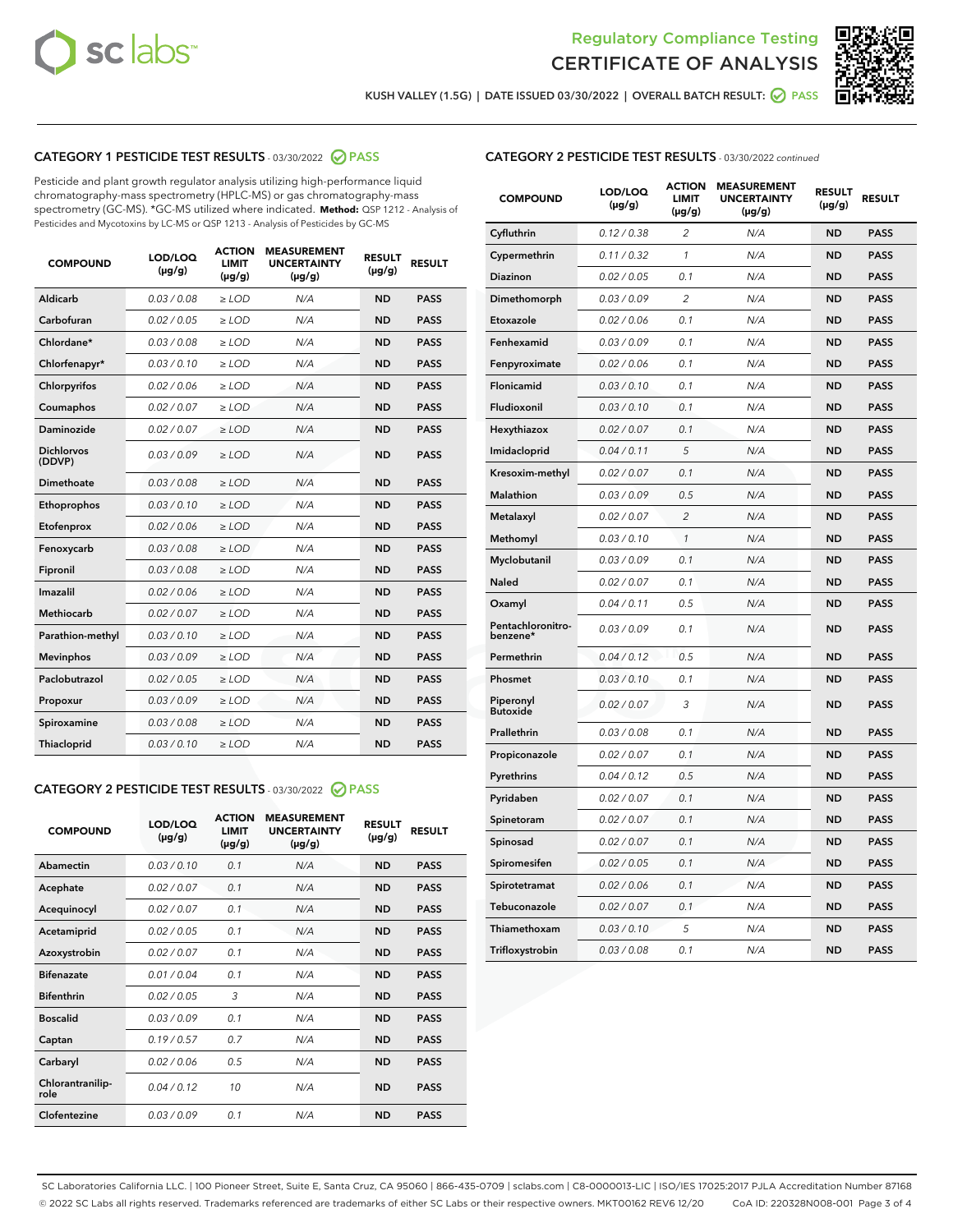



**KUSH VALLEY (1.5G) | DATE ISSUED 03/30/2022 | OVERALL BATCH RESULT: PASS**

# **CATEGORY 1 PESTICIDE TEST RESULTS** - 03/30/2022 **PASS**

Pesticide and plant growth regulator analysis utilizing high-performance liquid chromatography-mass spectrometry (HPLC-MS) or gas chromatography-mass spectrometry (GC-MS). \*GC-MS utilized where indicated. **Method:** QSP 1212 - Analysis of Pesticides and Mycotoxins by LC-MS or QSP 1213 - Analysis of Pesticides by GC-MS

| 0.03 / 0.08<br>Aldicarb<br>$\ge$ LOD<br><b>ND</b><br><b>PASS</b><br>N/A<br>Carbofuran<br>0.02 / 0.05<br>$\ge$ LOD<br>N/A<br><b>ND</b><br><b>PASS</b><br>Chlordane*<br>0.03 / 0.08<br>N/A<br><b>ND</b><br><b>PASS</b><br>$\ge$ LOD<br>Chlorfenapyr*<br>0.03/0.10<br>N/A<br><b>ND</b><br><b>PASS</b><br>$\ge$ LOD<br>0.02/0.06<br>$>$ LOD<br>N/A<br><b>ND</b><br><b>PASS</b><br>Chlorpyrifos<br>Coumaphos<br>0.02 / 0.07<br>$\ge$ LOD<br>N/A<br><b>ND</b><br><b>PASS</b><br>Daminozide<br>0.02 / 0.07<br>$\ge$ LOD<br>N/A<br><b>ND</b><br><b>PASS</b><br><b>Dichlorvos</b><br>0.03/0.09<br>N/A<br><b>ND</b><br><b>PASS</b><br>$\ge$ LOD<br>(DDVP)<br><b>Dimethoate</b><br>0.03 / 0.08<br>N/A<br><b>ND</b><br><b>PASS</b><br>$\ge$ LOD<br>0.03/0.10<br><b>ND</b><br><b>PASS</b><br>Ethoprophos<br>$\ge$ LOD<br>N/A<br>0.02 / 0.06<br><b>PASS</b><br>Etofenprox<br>$\ge$ LOD<br>N/A<br><b>ND</b><br>0.03/0.08<br>N/A<br><b>ND</b><br><b>PASS</b><br>Fenoxycarb<br>$>$ LOD<br>0.03 / 0.08<br><b>ND</b><br>Fipronil<br>$\ge$ LOD<br>N/A<br><b>PASS</b><br>Imazalil<br>0.02 / 0.06<br>N/A<br><b>ND</b><br>$\ge$ LOD<br><b>PASS</b><br><b>Methiocarb</b><br>0.02 / 0.07<br>$\ge$ LOD<br>N/A<br><b>ND</b><br><b>PASS</b><br>N/A<br><b>ND</b><br><b>PASS</b><br>Parathion-methyl<br>0.03/0.10<br>$\ge$ LOD<br>0.03/0.09<br>N/A<br>$\ge$ LOD<br><b>ND</b><br><b>PASS</b><br><b>Mevinphos</b><br>Paclobutrazol<br>0.02 / 0.05<br>N/A<br><b>ND</b><br><b>PASS</b><br>$\ge$ LOD<br>0.03/0.09<br>N/A<br><b>ND</b><br>$\ge$ LOD<br><b>PASS</b><br>Propoxur<br>0.03 / 0.08<br>N/A<br><b>ND</b><br><b>PASS</b><br>Spiroxamine<br>$>$ LOD<br>0.03/0.10<br><b>ND</b><br><b>PASS</b><br>Thiacloprid<br>$\ge$ LOD<br>N/A | <b>COMPOUND</b> | LOD/LOQ<br>$(\mu g/g)$ | <b>ACTION</b><br><b>LIMIT</b><br>$(\mu g/g)$ | <b>MEASUREMENT</b><br><b>UNCERTAINTY</b><br>$(\mu g/g)$ | <b>RESULT</b><br>$(\mu g/g)$ | <b>RESULT</b> |
|----------------------------------------------------------------------------------------------------------------------------------------------------------------------------------------------------------------------------------------------------------------------------------------------------------------------------------------------------------------------------------------------------------------------------------------------------------------------------------------------------------------------------------------------------------------------------------------------------------------------------------------------------------------------------------------------------------------------------------------------------------------------------------------------------------------------------------------------------------------------------------------------------------------------------------------------------------------------------------------------------------------------------------------------------------------------------------------------------------------------------------------------------------------------------------------------------------------------------------------------------------------------------------------------------------------------------------------------------------------------------------------------------------------------------------------------------------------------------------------------------------------------------------------------------------------------------------------------------------------------------------------------------------------------------------------------------|-----------------|------------------------|----------------------------------------------|---------------------------------------------------------|------------------------------|---------------|
|                                                                                                                                                                                                                                                                                                                                                                                                                                                                                                                                                                                                                                                                                                                                                                                                                                                                                                                                                                                                                                                                                                                                                                                                                                                                                                                                                                                                                                                                                                                                                                                                                                                                                                    |                 |                        |                                              |                                                         |                              |               |
|                                                                                                                                                                                                                                                                                                                                                                                                                                                                                                                                                                                                                                                                                                                                                                                                                                                                                                                                                                                                                                                                                                                                                                                                                                                                                                                                                                                                                                                                                                                                                                                                                                                                                                    |                 |                        |                                              |                                                         |                              |               |
|                                                                                                                                                                                                                                                                                                                                                                                                                                                                                                                                                                                                                                                                                                                                                                                                                                                                                                                                                                                                                                                                                                                                                                                                                                                                                                                                                                                                                                                                                                                                                                                                                                                                                                    |                 |                        |                                              |                                                         |                              |               |
|                                                                                                                                                                                                                                                                                                                                                                                                                                                                                                                                                                                                                                                                                                                                                                                                                                                                                                                                                                                                                                                                                                                                                                                                                                                                                                                                                                                                                                                                                                                                                                                                                                                                                                    |                 |                        |                                              |                                                         |                              |               |
|                                                                                                                                                                                                                                                                                                                                                                                                                                                                                                                                                                                                                                                                                                                                                                                                                                                                                                                                                                                                                                                                                                                                                                                                                                                                                                                                                                                                                                                                                                                                                                                                                                                                                                    |                 |                        |                                              |                                                         |                              |               |
|                                                                                                                                                                                                                                                                                                                                                                                                                                                                                                                                                                                                                                                                                                                                                                                                                                                                                                                                                                                                                                                                                                                                                                                                                                                                                                                                                                                                                                                                                                                                                                                                                                                                                                    |                 |                        |                                              |                                                         |                              |               |
|                                                                                                                                                                                                                                                                                                                                                                                                                                                                                                                                                                                                                                                                                                                                                                                                                                                                                                                                                                                                                                                                                                                                                                                                                                                                                                                                                                                                                                                                                                                                                                                                                                                                                                    |                 |                        |                                              |                                                         |                              |               |
|                                                                                                                                                                                                                                                                                                                                                                                                                                                                                                                                                                                                                                                                                                                                                                                                                                                                                                                                                                                                                                                                                                                                                                                                                                                                                                                                                                                                                                                                                                                                                                                                                                                                                                    |                 |                        |                                              |                                                         |                              |               |
|                                                                                                                                                                                                                                                                                                                                                                                                                                                                                                                                                                                                                                                                                                                                                                                                                                                                                                                                                                                                                                                                                                                                                                                                                                                                                                                                                                                                                                                                                                                                                                                                                                                                                                    |                 |                        |                                              |                                                         |                              |               |
|                                                                                                                                                                                                                                                                                                                                                                                                                                                                                                                                                                                                                                                                                                                                                                                                                                                                                                                                                                                                                                                                                                                                                                                                                                                                                                                                                                                                                                                                                                                                                                                                                                                                                                    |                 |                        |                                              |                                                         |                              |               |
|                                                                                                                                                                                                                                                                                                                                                                                                                                                                                                                                                                                                                                                                                                                                                                                                                                                                                                                                                                                                                                                                                                                                                                                                                                                                                                                                                                                                                                                                                                                                                                                                                                                                                                    |                 |                        |                                              |                                                         |                              |               |
|                                                                                                                                                                                                                                                                                                                                                                                                                                                                                                                                                                                                                                                                                                                                                                                                                                                                                                                                                                                                                                                                                                                                                                                                                                                                                                                                                                                                                                                                                                                                                                                                                                                                                                    |                 |                        |                                              |                                                         |                              |               |
|                                                                                                                                                                                                                                                                                                                                                                                                                                                                                                                                                                                                                                                                                                                                                                                                                                                                                                                                                                                                                                                                                                                                                                                                                                                                                                                                                                                                                                                                                                                                                                                                                                                                                                    |                 |                        |                                              |                                                         |                              |               |
|                                                                                                                                                                                                                                                                                                                                                                                                                                                                                                                                                                                                                                                                                                                                                                                                                                                                                                                                                                                                                                                                                                                                                                                                                                                                                                                                                                                                                                                                                                                                                                                                                                                                                                    |                 |                        |                                              |                                                         |                              |               |
|                                                                                                                                                                                                                                                                                                                                                                                                                                                                                                                                                                                                                                                                                                                                                                                                                                                                                                                                                                                                                                                                                                                                                                                                                                                                                                                                                                                                                                                                                                                                                                                                                                                                                                    |                 |                        |                                              |                                                         |                              |               |
|                                                                                                                                                                                                                                                                                                                                                                                                                                                                                                                                                                                                                                                                                                                                                                                                                                                                                                                                                                                                                                                                                                                                                                                                                                                                                                                                                                                                                                                                                                                                                                                                                                                                                                    |                 |                        |                                              |                                                         |                              |               |
|                                                                                                                                                                                                                                                                                                                                                                                                                                                                                                                                                                                                                                                                                                                                                                                                                                                                                                                                                                                                                                                                                                                                                                                                                                                                                                                                                                                                                                                                                                                                                                                                                                                                                                    |                 |                        |                                              |                                                         |                              |               |
|                                                                                                                                                                                                                                                                                                                                                                                                                                                                                                                                                                                                                                                                                                                                                                                                                                                                                                                                                                                                                                                                                                                                                                                                                                                                                                                                                                                                                                                                                                                                                                                                                                                                                                    |                 |                        |                                              |                                                         |                              |               |
|                                                                                                                                                                                                                                                                                                                                                                                                                                                                                                                                                                                                                                                                                                                                                                                                                                                                                                                                                                                                                                                                                                                                                                                                                                                                                                                                                                                                                                                                                                                                                                                                                                                                                                    |                 |                        |                                              |                                                         |                              |               |
|                                                                                                                                                                                                                                                                                                                                                                                                                                                                                                                                                                                                                                                                                                                                                                                                                                                                                                                                                                                                                                                                                                                                                                                                                                                                                                                                                                                                                                                                                                                                                                                                                                                                                                    |                 |                        |                                              |                                                         |                              |               |
|                                                                                                                                                                                                                                                                                                                                                                                                                                                                                                                                                                                                                                                                                                                                                                                                                                                                                                                                                                                                                                                                                                                                                                                                                                                                                                                                                                                                                                                                                                                                                                                                                                                                                                    |                 |                        |                                              |                                                         |                              |               |

# **CATEGORY 2 PESTICIDE TEST RESULTS** - 03/30/2022 **PASS**

| <b>COMPOUND</b>          | LOD/LOO<br>$(\mu g/g)$ | <b>ACTION</b><br><b>LIMIT</b><br>(µg/g) | <b>MEASUREMENT</b><br><b>UNCERTAINTY</b><br>$(\mu g/g)$ | <b>RESULT</b><br>$(\mu g/g)$ | <b>RESULT</b> |  |
|--------------------------|------------------------|-----------------------------------------|---------------------------------------------------------|------------------------------|---------------|--|
| Abamectin                | 0.03/0.10              | 0.1                                     | N/A                                                     | <b>ND</b>                    | <b>PASS</b>   |  |
| Acephate                 | 0.02/0.07              | 0.1                                     | N/A                                                     | <b>ND</b>                    | <b>PASS</b>   |  |
| Acequinocyl              | 0.02/0.07              | 0.1                                     | N/A                                                     | <b>ND</b>                    | <b>PASS</b>   |  |
| Acetamiprid              | 0.02/0.05              | 0.1                                     | N/A                                                     | <b>ND</b>                    | <b>PASS</b>   |  |
| Azoxystrobin             | 0.02/0.07              | 0.1                                     | N/A                                                     | <b>ND</b>                    | <b>PASS</b>   |  |
| <b>Bifenazate</b>        | 0.01/0.04              | 0.1                                     | N/A                                                     | <b>ND</b>                    | <b>PASS</b>   |  |
| <b>Bifenthrin</b>        | 0.02/0.05              | 3                                       | N/A                                                     | <b>ND</b>                    | <b>PASS</b>   |  |
| <b>Boscalid</b>          | 0.03/0.09              | 0.1                                     | N/A                                                     | <b>ND</b>                    | <b>PASS</b>   |  |
| Captan                   | 0.19/0.57              | 0.7                                     | N/A                                                     | <b>ND</b>                    | <b>PASS</b>   |  |
| Carbaryl                 | 0.02/0.06              | 0.5                                     | N/A                                                     | <b>ND</b>                    | <b>PASS</b>   |  |
| Chlorantranilip-<br>role | 0.04/0.12              | 10                                      | N/A                                                     | <b>ND</b>                    | <b>PASS</b>   |  |
| Clofentezine             | 0.03/0.09              | 0.1                                     | N/A                                                     | <b>ND</b>                    | <b>PASS</b>   |  |

## **CATEGORY 2 PESTICIDE TEST RESULTS** - 03/30/2022 continued

| <b>COMPOUND</b>               | LOD/LOQ<br>(µg/g) | <b>ACTION</b><br>LIMIT<br>$(\mu g/g)$ | <b>MEASUREMENT</b><br><b>UNCERTAINTY</b><br>$(\mu g/g)$ | <b>RESULT</b><br>(µg/g) | <b>RESULT</b> |
|-------------------------------|-------------------|---------------------------------------|---------------------------------------------------------|-------------------------|---------------|
| Cyfluthrin                    | 0.12 / 0.38       | 2                                     | N/A                                                     | ND                      | <b>PASS</b>   |
| Cypermethrin                  | 0.11 / 0.32       | 1                                     | N/A                                                     | ND                      | <b>PASS</b>   |
| Diazinon                      | 0.02 / 0.05       | 0.1                                   | N/A                                                     | ND                      | <b>PASS</b>   |
| Dimethomorph                  | 0.03 / 0.09       | $\overline{c}$                        | N/A                                                     | <b>ND</b>               | <b>PASS</b>   |
| Etoxazole                     | 0.02 / 0.06       | 0.1                                   | N/A                                                     | ND                      | <b>PASS</b>   |
| Fenhexamid                    | 0.03 / 0.09       | 0.1                                   | N/A                                                     | ND                      | <b>PASS</b>   |
| Fenpyroximate                 | 0.02 / 0.06       | 0.1                                   | N/A                                                     | ND                      | <b>PASS</b>   |
| Flonicamid                    | 0.03 / 0.10       | 0.1                                   | N/A                                                     | <b>ND</b>               | <b>PASS</b>   |
| Fludioxonil                   | 0.03 / 0.10       | 0.1                                   | N/A                                                     | ND                      | <b>PASS</b>   |
| Hexythiazox                   | 0.02 / 0.07       | 0.1                                   | N/A                                                     | <b>ND</b>               | <b>PASS</b>   |
| Imidacloprid                  | 0.04 / 0.11       | 5                                     | N/A                                                     | <b>ND</b>               | <b>PASS</b>   |
| Kresoxim-methyl               | 0.02 / 0.07       | 0.1                                   | N/A                                                     | ND                      | <b>PASS</b>   |
| Malathion                     | 0.03 / 0.09       | 0.5                                   | N/A                                                     | <b>ND</b>               | <b>PASS</b>   |
| Metalaxyl                     | 0.02 / 0.07       | $\overline{c}$                        | N/A                                                     | <b>ND</b>               | <b>PASS</b>   |
| Methomyl                      | 0.03 / 0.10       | $\mathcal{I}$                         | N/A                                                     | ND                      | <b>PASS</b>   |
| Myclobutanil                  | 0.03 / 0.09       | 0.1                                   | N/A                                                     | <b>ND</b>               | <b>PASS</b>   |
| Naled                         | 0.02 / 0.07       | 0.1                                   | N/A                                                     | <b>ND</b>               | <b>PASS</b>   |
| Oxamyl                        | 0.04 / 0.11       | 0.5                                   | N/A                                                     | ND                      | <b>PASS</b>   |
| Pentachloronitro-<br>benzene* | 0.03 / 0.09       | 0.1                                   | N/A                                                     | <b>ND</b>               | <b>PASS</b>   |
| Permethrin                    | 0.04 / 0.12       | 0.5                                   | N/A                                                     | <b>ND</b>               | <b>PASS</b>   |
| Phosmet                       | 0.03 / 0.10       | 0.1                                   | N/A                                                     | ND                      | <b>PASS</b>   |
| Piperonyl<br><b>Butoxide</b>  | 0.02 / 0.07       | 3                                     | N/A                                                     | <b>ND</b>               | <b>PASS</b>   |
| Prallethrin                   | 0.03 / 0.08       | 0.1                                   | N/A                                                     | <b>ND</b>               | <b>PASS</b>   |
| Propiconazole                 | 0.02 / 0.07       | 0.1                                   | N/A                                                     | ND                      | <b>PASS</b>   |
| Pyrethrins                    | 0.04 / 0.12       | 0.5                                   | N/A                                                     | ND                      | <b>PASS</b>   |
| Pyridaben                     | 0.02 / 0.07       | 0.1                                   | N/A                                                     | <b>ND</b>               | <b>PASS</b>   |
| Spinetoram                    | 0.02 / 0.07       | 0.1                                   | N/A                                                     | ND                      | <b>PASS</b>   |
| Spinosad                      | 0.02 / 0.07       | 0.1                                   | N/A                                                     | <b>ND</b>               | <b>PASS</b>   |
| Spiromesifen                  | 0.02 / 0.05       | 0.1                                   | N/A                                                     | ND                      | <b>PASS</b>   |
| Spirotetramat                 | 0.02 / 0.06       | 0.1                                   | N/A                                                     | ND                      | <b>PASS</b>   |
| Tebuconazole                  | 0.02 / 0.07       | 0.1                                   | N/A                                                     | <b>ND</b>               | <b>PASS</b>   |
| Thiamethoxam                  | 0.03/0.10         | 5                                     | N/A                                                     | ND                      | <b>PASS</b>   |
| Trifloxystrobin               | 0.03 / 0.08       | 0.1                                   | N/A                                                     | <b>ND</b>               | <b>PASS</b>   |

SC Laboratories California LLC. | 100 Pioneer Street, Suite E, Santa Cruz, CA 95060 | 866-435-0709 | sclabs.com | C8-0000013-LIC | ISO/IES 17025:2017 PJLA Accreditation Number 87168 © 2022 SC Labs all rights reserved. Trademarks referenced are trademarks of either SC Labs or their respective owners. MKT00162 REV6 12/20 CoA ID: 220328N008-001 Page 3 of 4